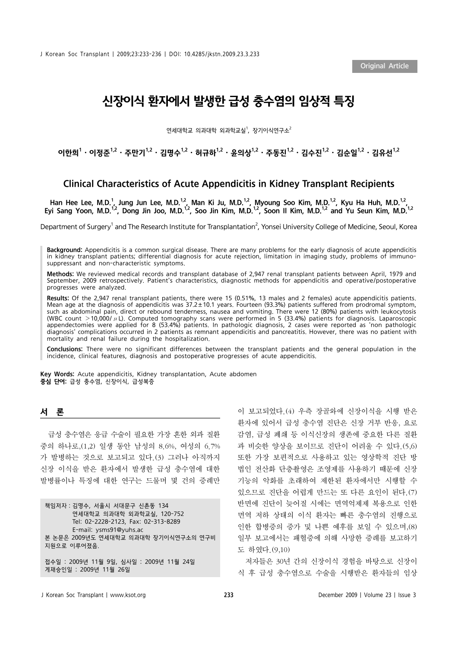Original Article

# 신장이식 환자에서 발생한 급성 충수염의 임상적 특징

연세대학교 의과대학 외과학교실<sup>1</sup>, 장기이식연구소<sup>2</sup>

이한희 $^1\cdot$  이정준 $^{1,2}\cdot$  주만기 $^{1,2}\cdot$  김명수 $^{1,2}\cdot$  허규하 $^{1,2}\cdot$  윤의상 $^{1,2}\cdot$  주동진 $^{1,2}\cdot$  김수진 $^{1,2}\cdot$  김유선 $^{1,2}$ 

# Clinical Characteristics of Acute Appendicitis in Kidney Transplant Recipients

Han Hee Lee, M.D.<sup>1</sup>, Jung Jun Lee, M.D.<sup>1,2</sup>, Man Ki Ju, M.D.<sup>1,2</sup>, Myoung Soo Kim, M.D.<sup>1,2</sup>, Kyu Ha Huh, M.D.<sup>1,2</sup>, Eyi Sang Yoon, M.D.<sup>1,2</sup>, Dong Jin Joo, M.D.<sup>1,2</sup>, Soo Jin Kim, M.D.<sup>1,2</sup>, Soon II Kim, M.D.<sup>1,2</sup> and Yu Seun Kim, M.D.<sup>1,2</sup>

Department of Surgery<sup>1</sup> and The Research Institute for Transplantation<sup>2</sup>, Yonsei University College of Medicine, Seoul, Korea

Background: Appendicitis is a common surgical disease. There are many problems for the early diagnosis of acute appendicitis in kidney transplant patients; differential diagnosis for acute rejection, limitation in imaging study, problems of immunosuppressant and non-characteristic symptoms.

Methods: We reviewed medical records and transplant database of 2,947 renal transplant patients between April, 1979 and September, 2009 retrospectively. Patient's characteristics, diagnostic methods for appendicitis and operative/postoperative progresses were analyzed.

Results: Of the 2,947 renal transplant patients, there were 15 (0.51%, 13 males and 2 females) acute appendicitis patients. Mean age at the diagnosis of appendicitis was 37.2±10.1 years. Fourteen (93.3%) patients suffered from prodromal symptom, such as abdominal pain, direct or rebound tenderness, nausea and vomiting. There were 12 (80%) patients with leukocytosis (WBC count  $>$ 10,000/ $\mu$ L). Computed tomography scans were performed in 5 (33.4%) patients for diagnosis. Laparoscopic appendectomies were applied for 8 (53.4%) patients. In pathologic diagnosis, 2 cases were reported as 'non pathologic diagnosis' complications occurred in 2 patients as remnant appendicitis and pancreatitis. However, there was no patient with mortality and renal failure during the hospitalization.

Conclusions: There were no significant differences between the transplant patients and the general population in the incidence, clinical features, diagnosis and postoperative progresses of acute appendicitis.

Key Words: Acute appendicitis, Kidney transplantation, Acute abdomen 중심 단어: 급성 충수염, 신장이식, 급성복증

### 서 론

급성 충수염은 응급 수술이 필요한 가장 흔한 외과 질환 중의 하나로,(1,2) 일생 동안 남성의 8.6%, 여성의 6.7% 가 발병하는 것으로 보고되고 있다.(3) 그러나 아직까지 신장 이식을 받은 환자에서 발생한 급성 충수염에 대한 발병률이나 특징에 대한 연구는 드물며 몇 건의 증례만

책임저자:김명수, 서울시 서대문구 신촌동 134 연세대학교 의과대학 외과학교실, 120-752 Tel: 02-2228-2123, Fax: 02-313-8289 E-mail: ysms91@yuhs.ac 본 논문은 2009년도 연세대학교 의과대학 장기이식연구소의 연구비 지원으로 이루어졌음. 접수일 : 2009년 11월 9일, 심사일 : 2009년 11월 24일

이 보고되었다.(4) 우측 장골와에 신장이식을 시행 받은 환자에 있어서 급성 충수염 진단은 신장 거부 반응, 요로 감염, 급성 폐쇄 등 이식신장의 생존에 중요한 다른 질환 과 비슷한 양상을 보이므로 진단이 어려울 수 있다.(5,6) 또한 가장 보편적으로 사용하고 있는 영상학적 진단 방 법인 전산화 단층촬영은 조영제를 사용하기 때문에 신장 기능의 악화를 초래하여 제한된 환자에서만 시행할 수 있으므로 진단을 어렵게 만드는 또 다른 요인이 된다.(7) 반면에 진단이 늦어질 시에는 면역억제제 복용으로 인한 면역 저하 상태의 이식 환자는 빠른 충수염의 진행으로 인한 합병증의 증가 및 나쁜 예후를 보일 수 있으며,(8) 일부 보고에서는 패혈증에 의해 사망한 증례를 보고하기 도 하였다.(9,10)

저자들은 30년 간의 신장이식 경험을 바탕으로 신장이 식 후 급성 충수염으로 수술을 시행받은 환자들의 임상

게재승인일 : 2009년 11월 26일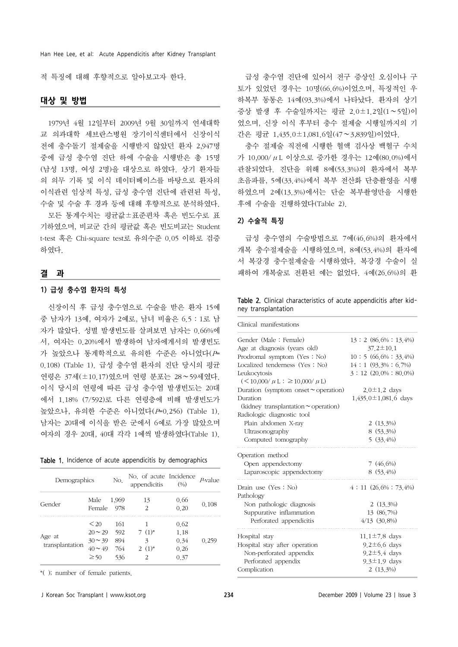Han Hee Lee, et al: Acute Appendicitis after Kidney Transplant

적 특징에 대해 후향적으로 알아보고자 한다.

## 대상 및 방법

1979년 4월 12일부터 2009년 9월 30일까지 연세대학 교 의과대학 세브란스병원 장기이식센터에서 신장이식 전에 충수돌기 절제술을 시행받지 않았던 환자 2,947명 중에 급성 충수염 진단 하에 수술을 시행받은 총 15명 (남성 13명, 여성 2명)을 대상으로 하였다. 상기 환자들 의 의무 기록 및 이식 데이터베이스를 바탕으로 환자의 이식관련 임상적 특성, 급성 충수염 진단에 관련된 특성, 수술 및 수술 후 경과 등에 대해 후향적으로 분석하였다.

모든 통계수치는 평균값±표준편차 혹은 빈도수로 표 기하였으며, 비교군 간의 평균값 혹은 빈도비교는 Student t-test 혹은 Chi-square test로 유의수준 0.05 이하로 검증 하였다.

#### 결 과

#### 1) 급성 충수염 환자의 특성

신장이식 후 급성 충수염으로 수술을 받은 환자 15예 중 남자가 13예, 여자가 2예로, 남녀 비율은 6.5:1로 남 자가 많았다. 성별 발생빈도를 살펴보면 남자는 0.66%에 서, 여자는 0.20%에서 발생하여 남자에게서의 발생빈도 가 높았으나 통계학적으로 유의한 수준은 아니었다(P= 0.108) (Table 1). 급성 충수염 환자의 진단 당시의 평균 연령은 37세(±10.17)였으며 연령 분포는 28∼59세였다. 이식 당시의 연령에 따른 급성 충수염 발생빈도는 20대 에서 1.18% (7/592)로 다른 연령층에 비해 발생빈도가 높았으나, 유의한 수준은 아니었다(P=0.256) (Table 1). 남자는 20대에 이식을 받은 군에서 6예로 가장 많았으며 여자의 경우 20대, 40대 각각 1예씩 발생하였다(Table 1).

|  |  |  | Table 1. Incidence of acute appendicitis by demographics |
|--|--|--|----------------------------------------------------------|
|  |  |  |                                                          |

| Demographics    | No.          | No. of acute Incidence<br>appendicitis | (9/0)         | $P$ -value |       |  |
|-----------------|--------------|----------------------------------------|---------------|------------|-------|--|
| Gender          | Male         | 1,969                                  | 13            | 0.66       | 0.108 |  |
|                 | Female       | 978                                    | 2             | 0.20       |       |  |
|                 | < 20         | 161                                    |               | 0.62       |       |  |
|                 | $20 \sim 29$ | 592                                    | $7(1)^*$      | 1.18       |       |  |
| Age at          | $30 \sim 39$ | 894                                    | 3             | 0.34       | 0.259 |  |
| transplantation | $40 \sim 49$ | 764                                    | $2(1)^*$      | 0.26       |       |  |
|                 | $\geq 50$    | 536                                    | $\mathcal{P}$ | 0.37       |       |  |

\*( ); number of female patients.

급성 충수염 진단에 있어서 전구 증상인 오심이나 구 토가 있었던 경우는 10명(66.6%)이었으며, 특징적인 우 하복부 동통은 14예(93.3%)에서 나타났다. 환자의 상기 증상 발생 후 수술일까지는 평균 2.0±1.2일(1∼5일)이 었으며, 신장 이식 후부터 충수 절제술 시행일까지의 기 간은 평균 1,435.0±1,081.6일(47∼3,839일)이었다.

충수 절제술 직전에 시행한 혈액 검사상 백혈구 수치 가 10,000/μL 이상으로 증가한 경우는 12예(80.0%)에서 관찰되었다. 진단을 위해 8예(53.3%)의 환자에서 복부 초음파를, 5예(33.4%)에서 복부 전산화 단층촬영을 시행 하였으며 2예(13.3%)에서는 단순 복부촬영만을 시행한 후에 수술을 진행하였다(Table 2).

#### 2) 수술적 특징

급성 충수염의 수술방법으로 7예(46.6%)의 환자에서 개복 충수절제술을 시행하였으며, 8예(53.4%)의 환자에 서 복강경 충수절제술을 시행하였다. 복강경 수술이 실 패하여 개복술로 전환된 예는 없었다. 4예(26.6%)의 환

|  |                     |  | <b>Table 2.</b> Clinical characteristics of acute appendicitis after kid- |  |
|--|---------------------|--|---------------------------------------------------------------------------|--|
|  | ney transplantation |  |                                                                           |  |

| Clinical manifestations                   |                            |
|-------------------------------------------|----------------------------|
| Gender (Male: Female)                     | 13:2 (86.6%: 13.4%)        |
| Age at diagnosis (years old)              | $37.2 \pm 10.1$            |
| Prodromal symptom (Yes: No)               | $10:5(66,6\%:33,4\%)$      |
| Localized tenderness (Yes: No)            | $14:1(93.3\%:6.7\%)$       |
| Leukocytosis                              | $3:12(20,0\%:80,0\%)$      |
| $(<10,000/\mu L$ : $\geq 10,000/\mu L$ )  |                            |
| Duration (symptom onset $\sim$ operation) | $2.0 \pm 1.2$ days         |
| Duration                                  | $1,435.0 \pm 1,081.6$ days |
| (kidney transplantation $\sim$ operation) |                            |
| Radiologic diagnostic tool                |                            |
| Plain abdomen X-ray                       | $2(13,3\%)$                |
| Ultrasonography                           | 8 (53.3%)                  |
| Computed tomography                       | $5(33, 4\%)$               |
| Operation method                          |                            |
| Open appendectomy                         | $7(46.6\%)$                |
| Laparoscopic appendectomy                 | 8 (53.4%)                  |
| Drain use (Yes: No)                       | $4:11(26.6\%:73.4\%)$      |
| Pathology                                 |                            |
| Non pathologic diagnosis                  | $2(13.3\%)$                |
| Suppurative inflammation                  | 13 (86.7%)                 |
| Perforated appendicitis                   | 4/13 (30.8%)               |
| Hospital stay                             | $11.1 \pm 7.8$ days        |
| Hospital stay after operation             | $9.2 \pm 6.6$ days         |
| Non-perforated appendix                   | $9.2 \pm 5.4$ days         |
| Perforated appendix                       | $9.3 \pm 1.9$ days         |
| Complication                              | $2(13,3\%)$                |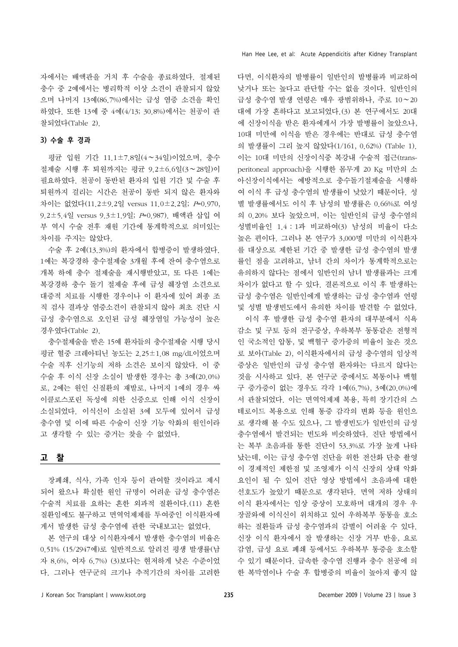자에서는 배액관을 거치 후 수술을 종료하였다. 절제된 충수 중 2예에서는 병리학적 이상 소견이 관찰되지 않았 으며 나머지 13예(86.7%)에서는 급성 염증 소견을 확인 하였다. 또한 13예 중 4예(4/13; 30.8%)에서는 천공이 관 찰되었다(Table 2).

## 3) 수술 후 경과

평균 입원 기간 11.1±7.8일(4∼34일)이었으며, 충수 절제술 시행 후 퇴원까지는 평균 9.2±6.6일(3∼28일)이 필요하였다. 천공이 동반된 환자의 입원 기간 및 수술 후 퇴원까지 걸리는 시간은 천공이 동반 되지 않은 환자와 차이는 없었다(11.2±9.2일 versus 11.0±2.2일; P=0.970, 9.2±5.4일 versus 9.3±1.9일; P=0.987). 배액관 삽입 여 부 역시 수술 전후 재원 기간에 통계학적으로 의미있는 차이를 주지는 않았다.

수술 후 2예(13.3%)의 환자에서 합병증이 발생하였다. 1예는 복강경하 충수절제술 3개월 후에 잔여 충수염으로 개복 하에 충수 절제술을 재시행받았고, 또 다른 1예는 복강경하 충수 돌기 절제술 후에 급성 췌장염 소견으로 대증적 치료를 시행한 경우이나 이 환자에 있어 최종 조 직 검사 결과상 염증소견이 관찰되지 않아 최초 진단 시 급성 충수염으로 오인된 급성 췌장염일 가능성이 높은 경우였다(Table 2).

충수절제술을 받은 15예 환자들의 충수절제술 시행 당시 평균 혈중 크레아티닌 농도는 2.25±1.08 mg/dL이었으며 수술 직후 신기능의 저하 소견은 보이지 않았다. 이 중 수술 후 이식 신장 소실이 발생한 경우는 총 3예(20.0%) 로, 2예는 원인 신질환의 재발로, 나머지 1예의 경우 싸 이클로스포린 독성에 의한 신증으로 인해 이식 신장이 소실되었다. 이식신이 소실된 3예 모두에 있어서 급성 충수염 및 이에 따른 수술이 신장 기능 악화의 원인이라 고 생각할 수 있는 증거는 찾을 수 없었다.

# 고 찰

장폐쇄, 식사, 가족 인자 등이 관여할 것이라고 제시 되어 왔으나 확실한 원인 규명이 어려운 급성 충수염은 수술적 치료를 요하는 흔한 외과적 질환이다.(11) 흔한 질환임에도 불구하고 면역억제제를 투여중인 이식환자에 게서 발생한 급성 충수염에 관한 국내보고는 없었다.

본 연구의 대상 이식환자에서 발생한 충수염의 비율은 0.51% (15/2947예)로 일반적으로 알려진 평생 발생률(남 자 8.6%, 여자 6.7%) (3)보다는 현저하게 낮은 수준이었 다. 그러나 연구군의 크기나 추적기간의 차이를 고려한 다면, 이식환자의 발병률이 일반인의 발병률과 비교하여 낮거나 또는 높다고 판단할 수는 없을 것이다. 일반인의 급성 충수염 발생 연령은 매우 광범위하나, 주로 10∼20 대에 가장 흔하다고 보고되었다.(3) 본 연구에서도 20대 에 신장이식을 받은 환자에게서 가장 발병률이 높았으나, 10대 미만에 이식을 받은 경우에는 반대로 급성 충수염 의 발생률이 그리 높지 않았다(1/161, 0.62%) (Table 1). 이는 10대 미만의 신장이식중 복강내 수술적 접근(transperitoneal approach)을 시행한 몸무게 20 Kg 미만의 소 아신장이식에서는 예방적으로 충수돌기절제술을 시행하 여 이식 후 급성 충수염의 발생률이 낮았기 때문이다. 성 별 발생률에서도 이식 후 남성의 발생률은 0.66%로 여성 의 0.20% 보다 높았으며, 이는 일반인의 급성 충수염의 성별비율인 1.4:1과 비교하여(3) 남성의 비율이 다소 높은 편이다. 그러나 본 연구가 3,000명 미만의 이식환자 를 대상으로 제한된 기간 중 발생한 급성 충수염의 발생 률인 점을 고려하고, 남녀 간의 차이가 통계학적으로는 유의하지 않다는 점에서 일반인의 남녀 발생률과는 크게 차이가 없다고 할 수 있다. 결론적으로 이식 후 발생하는 급성 충수염은 일반인에게 발생하는 급성 충수염과 연령 및 성별 발생빈도에서 유의한 차이를 발견할 수 없었다.

이식 후 발생한 급성 충수염 환자의 대부분에서 식욕 감소 및 구토 등의 전구증상, 우하복부 동통같은 전형적 인 국소적인 압통, 및 백혈구 증가증의 비율이 높은 것으 로 보아(Table 2), 이식환자에서의 급성 충수염의 임상적 증상은 일반인의 급성 충수염 환자와는 다르지 않다는 것을 시사하고 있다. 본 연구군 중에서도 복통이나 백혈 구 증가증이 없는 경우도 각각 1예(6.7%), 3예(20.0%)에 서 관찰되었다. 이는 면역억제제 복용, 특히 장기간의 스 테로이드 복용으로 인해 통증 감각의 변화 등을 원인으 로 생각해 볼 수도 있으나, 그 발생빈도가 일반인의 급성 충수염에서 발견되는 빈도와 비슷하였다. 진단 방법에서 는 복부 초음파를 통한 진단이 53.3%로 가장 높게 나타 났는데, 이는 급성 충수염 진단을 위한 전산화 단층 촬영 이 경제적인 제한점 및 조영제가 이식 신장의 상태 악화 요인이 될 수 있어 진단 영상 방법에서 초음파에 대한 선호도가 높았기 때문으로 생각된다. 면역 저하 상태의 이식 환자에서는 임상 증상이 모호하며 대개의 경우 우 장골와에 이식신이 위치하고 있어 우하복부 동통을 호소 하는 질환들과 급성 충수염과의 감별이 어려울 수 있다. 신장 이식 환자에서 잘 발생하는 신장 거부 반응, 요로 감염, 급성 요로 폐쇄 등에서도 우하복부 통증을 호소할 수 있기 때문이다. 급속한 충수염 진행과 충수 천공에 의 한 복막염이나 수술 후 합병증의 비율이 높아져 좋지 않